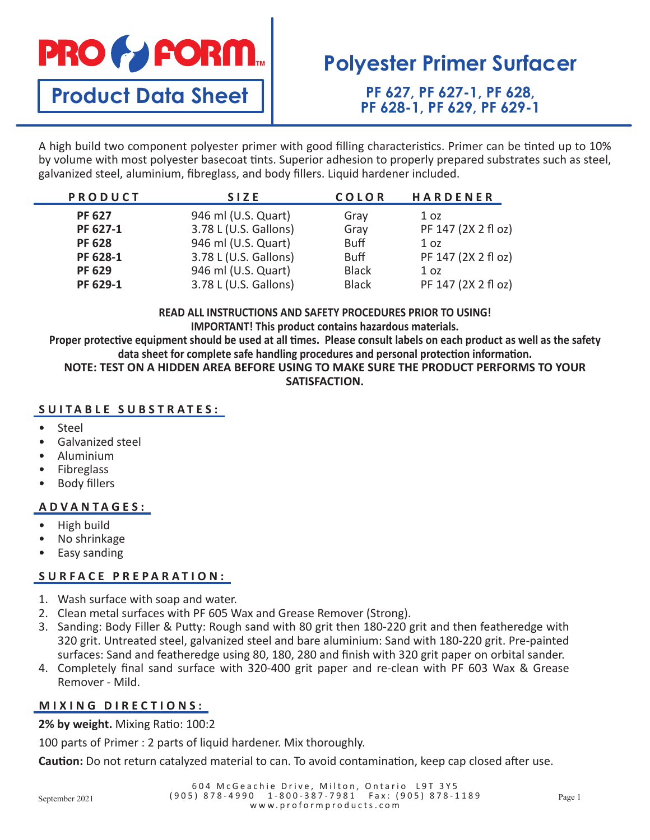# **PRO & FORM**

**Product Data Sheet**

# **Polyester Primer Surfacer**

**PF 627, PF 627-1, PF 628, PF 628-1, PF 629, PF 629-1**

A high build two component polyester primer with good filling characteristics. Primer can be tinted up to 10% by volume with most polyester basecoat tints. Superior adhesion to properly prepared substrates such as steel, galvanized steel, aluminium, fibreglass, and body fillers. Liquid hardener included.

| PRODUCT       | <b>SIZE</b>           | <b>COLOR</b> | <b>HARDENER</b>     |
|---------------|-----------------------|--------------|---------------------|
| <b>PF 627</b> | 946 ml (U.S. Quart)   | Gray         | 1 <sub>oz</sub>     |
| PF 627-1      | 3.78 L (U.S. Gallons) | Gray         | PF 147 (2X 2 fl oz) |
| <b>PF 628</b> | 946 ml (U.S. Quart)   | <b>Buff</b>  | 1 <sub>oz</sub>     |
| PF 628-1      | 3.78 L (U.S. Gallons) | <b>Buff</b>  | PF 147 (2X 2 fl oz) |
| <b>PF 629</b> | 946 ml (U.S. Quart)   | <b>Black</b> | 1 <sub>oz</sub>     |
| PF 629-1      | 3.78 L (U.S. Gallons) | <b>Black</b> | PF 147 (2X 2 fl oz) |

**READ ALL INSTRUCTIONS AND SAFETY PROCEDURES PRIOR TO USING! IMPORTANT! This product contains hazardous materials.**

**Proper protective equipment should be used at all times. Please consult labels on each product as well as the safety data sheet for complete safe handling procedures and personal protection information.**

**NOTE: TEST ON A HIDDEN AREA BEFORE USING TO MAKE SURE THE PRODUCT PERFORMS TO YOUR SATISFACTION.**

## **SUITABLE SUBSTRATES:**

- Steel
- Galvanized steel
- Aluminium
- Fibreglass
- **Body fillers**

### **ADVANTAGES:**

- High build
- No shrinkage
- Easy sanding

### **SURFACE PREPARATION:**

- 1. Wash surface with soap and water.
- 2. Clean metal surfaces with PF 605 Wax and Grease Remover (Strong).
- 3. Sanding: Body Filler & Putty: Rough sand with 80 grit then 180-220 grit and then featheredge with 320 grit. Untreated steel, galvanized steel and bare aluminium: Sand with 180-220 grit. Pre-painted surfaces: Sand and featheredge using 80, 180, 280 and finish with 320 grit paper on orbital sander.
- 4. Completely final sand surface with 320-400 grit paper and re-clean with PF 603 Wax & Grease Remover - Mild.

### **MIXING DIRECTIONS:**

**2% by weight.** Mixing Ratio: 100:2

100 parts of Primer : 2 parts of liquid hardener. Mix thoroughly.

**Caution:** Do not return catalyzed material to can. To avoid contamination, keep cap closed after use.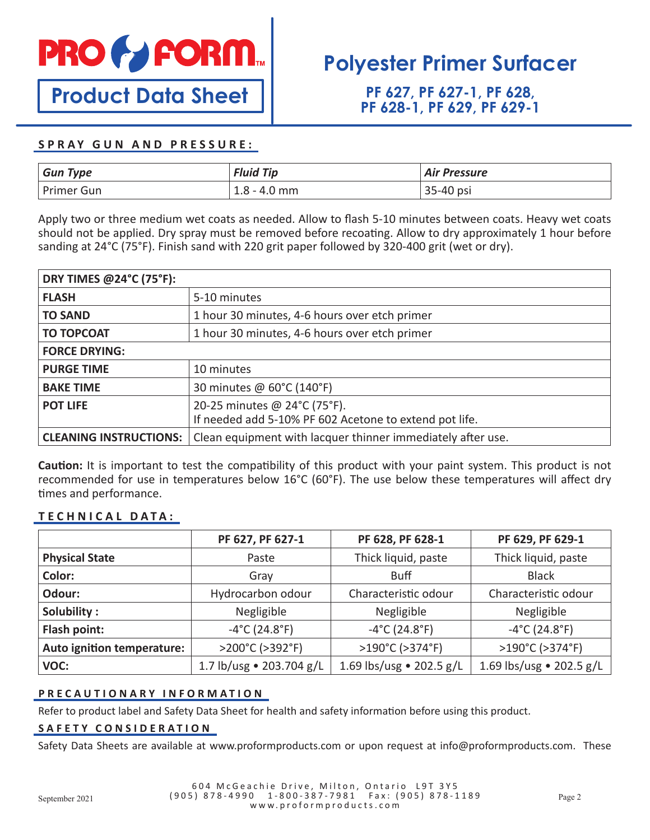

**Product Data Sheet**

# **Polyester Primer Surfacer**

**PF 627, PF 627-1, PF 628, PF 628-1, PF 629, PF 629-1**

### **SPRAY GUN AND PRESSURE:**

| <b>Gun Type</b> | <b>Fluid Tip</b> | <b>Air Pressure</b> |
|-----------------|------------------|---------------------|
| Primer Gun      | $1.8 - 4.0$ mm   | 35-40 psi           |

Apply two or three medium wet coats as needed. Allow to flash 5-10 minutes between coats. Heavy wet coats should not be applied. Dry spray must be removed before recoating. Allow to dry approximately 1 hour before sanding at 24°C (75°F). Finish sand with 220 grit paper followed by 320-400 grit (wet or dry).

| DRY TIMES @24°C (75°F):       |                                                                                        |  |  |
|-------------------------------|----------------------------------------------------------------------------------------|--|--|
| <b>FLASH</b>                  | 5-10 minutes                                                                           |  |  |
| <b>TO SAND</b>                | 1 hour 30 minutes, 4-6 hours over etch primer                                          |  |  |
| <b>TO TOPCOAT</b>             | 1 hour 30 minutes, 4-6 hours over etch primer                                          |  |  |
| <b>FORCE DRYING:</b>          |                                                                                        |  |  |
| <b>PURGE TIME</b>             | 10 minutes                                                                             |  |  |
| <b>BAKE TIME</b>              | 30 minutes @ 60°C (140°F)                                                              |  |  |
| <b>POT LIFE</b>               | 20-25 minutes @ 24°C (75°F).<br>If needed add 5-10% PF 602 Acetone to extend pot life. |  |  |
| <b>CLEANING INSTRUCTIONS:</b> | Clean equipment with lacquer thinner immediately after use.                            |  |  |

**Caution:** It is important to test the compatibility of this product with your paint system. This product is not recommended for use in temperatures below 16°C (60°F). The use below these temperatures will affect dry times and performance.

### **TECHNICAL DATA:**

|                            | PF 627, PF 627-1                   | PF 628, PF 628-1                   | PF 629, PF 629-1                   |
|----------------------------|------------------------------------|------------------------------------|------------------------------------|
| <b>Physical State</b>      | Paste                              | Thick liquid, paste                | Thick liquid, paste                |
| Color:                     | Gray                               | <b>Buff</b>                        | <b>Black</b>                       |
| Odour:                     | Hydrocarbon odour                  | Characteristic odour               | Characteristic odour               |
| Solubility:                | Negligible                         | Negligible                         | Negligible                         |
| Flash point:               | $-4^{\circ}$ C (24.8 $^{\circ}$ F) | $-4^{\circ}$ C (24.8 $^{\circ}$ F) | $-4^{\circ}$ C (24.8 $^{\circ}$ F) |
| Auto ignition temperature: | >200°C (>392°F)                    | >190°C (>374°F)                    | >190°C (>374°F)                    |
| VOC:                       | 1.7 lb/usg • 203.704 g/L           | 1.69 lbs/usg • 202.5 g/L           | 1.69 lbs/usg • 202.5 g/L           |

#### **PRECAUTIONARY INFORMATION**

Refer to product label and Safety Data Sheet for health and safety information before using this product.

#### **SAFETY CONSIDERATION**

Safety Data Sheets are available at www.proformproducts.com or upon request at info@proformproducts.com. These